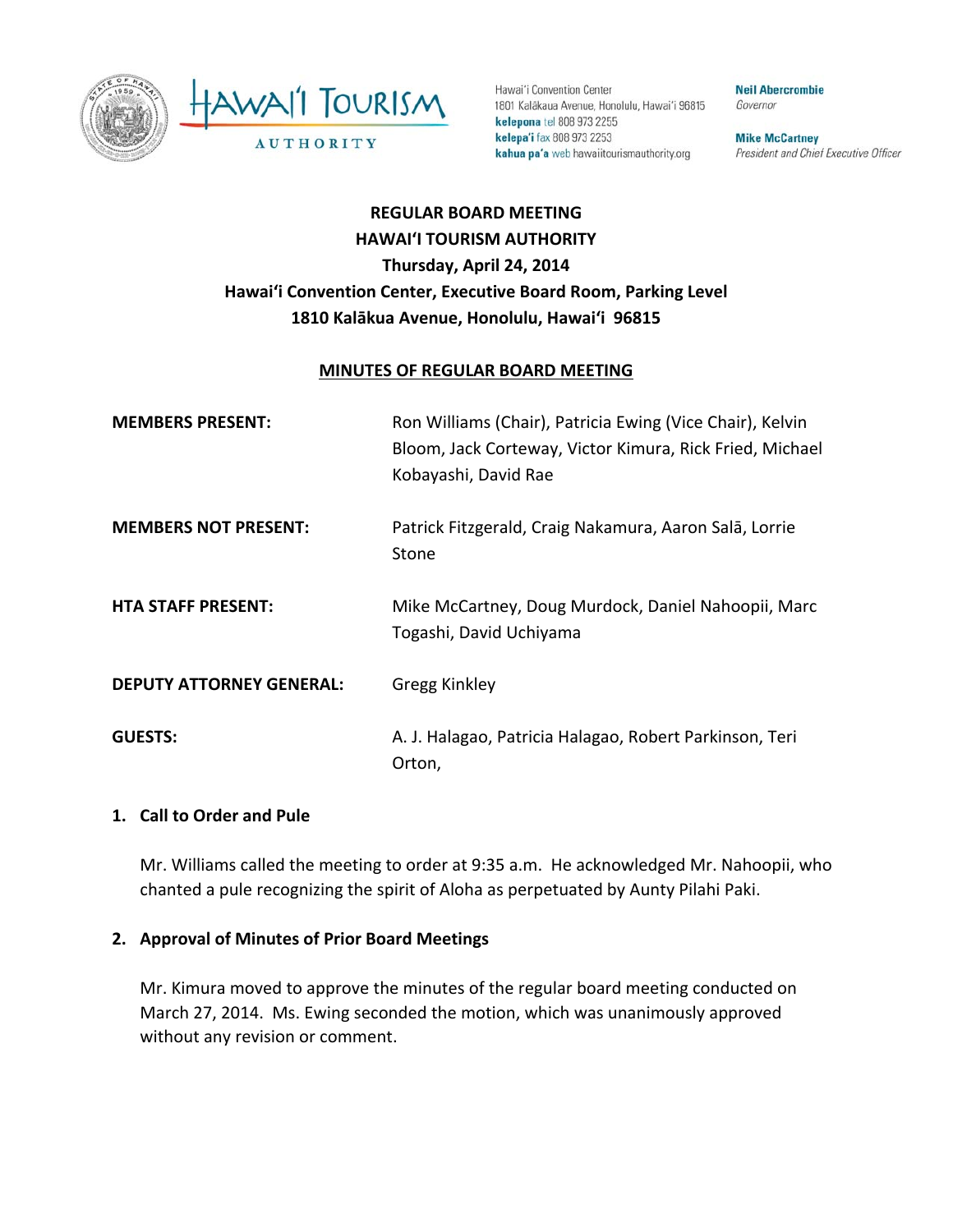



Hawai'i Convention Center 1801 Kalâkaua Avenue, Honolulu, Hawai'i 96815 kelepona tel 808 973 2255 kelepa'i fax 808 973 2253 kahua pa'a web hawaiitourismauthority.org

**Neil Abercrombie** Governor

**Mike McCartney** President and Chief Executive Officer

# **REGULAR BOARD MEETING HAWAI'I TOURISM AUTHORITY Thursday, April 24, 2014 Hawai'i Convention Center, Executive Board Room, Parking Level 1810 Kalākua Avenue, Honolulu, Hawai'i 96815**

#### **MINUTES OF REGULAR BOARD MEETING**

| <b>MEMBERS PRESENT:</b>         | Ron Williams (Chair), Patricia Ewing (Vice Chair), Kelvin<br>Bloom, Jack Corteway, Victor Kimura, Rick Fried, Michael<br>Kobayashi, David Rae |
|---------------------------------|-----------------------------------------------------------------------------------------------------------------------------------------------|
| <b>MEMBERS NOT PRESENT:</b>     | Patrick Fitzgerald, Craig Nakamura, Aaron Salā, Lorrie<br>Stone                                                                               |
| <b>HTA STAFF PRESENT:</b>       | Mike McCartney, Doug Murdock, Daniel Nahoopii, Marc<br>Togashi, David Uchiyama                                                                |
| <b>DEPUTY ATTORNEY GENERAL:</b> | <b>Gregg Kinkley</b>                                                                                                                          |
| <b>GUESTS:</b>                  | A. J. Halagao, Patricia Halagao, Robert Parkinson, Teri<br>Orton,                                                                             |

#### **1. Call to Order and Pule**

Mr. Williams called the meeting to order at 9:35 a.m. He acknowledged Mr. Nahoopii, who chanted a pule recognizing the spirit of Aloha as perpetuated by Aunty Pilahi Paki.

#### **2. Approval of Minutes of Prior Board Meetings**

Mr. Kimura moved to approve the minutes of the regular board meeting conducted on March 27, 2014. Ms. Ewing seconded the motion, which was unanimously approved without any revision or comment.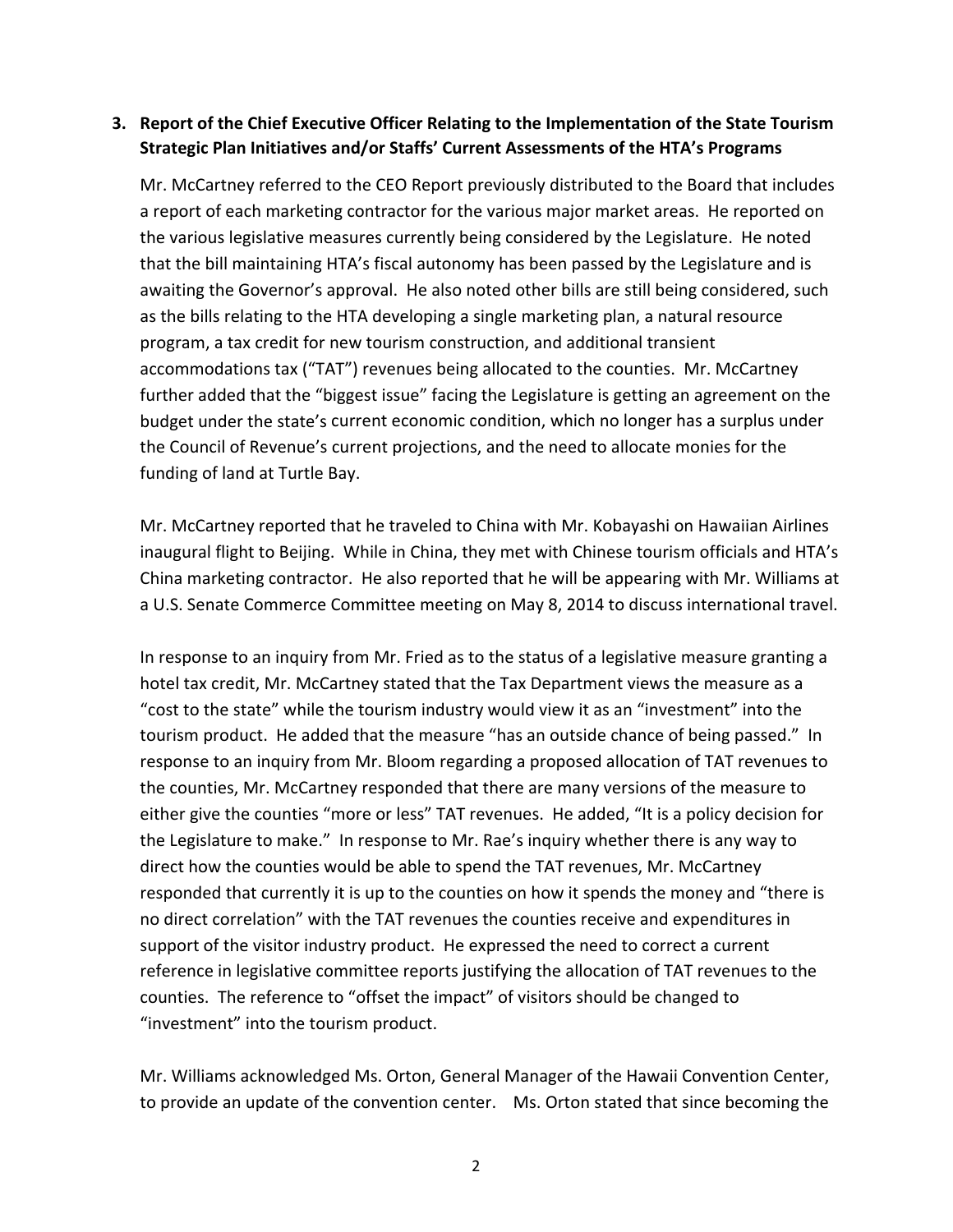## **3. Report of the Chief Executive Officer Relating to the Implementation of the State Tourism Strategic Plan Initiatives and/or Staffs' Current Assessments of the HTA's Programs**

Mr. McCartney referred to the CEO Report previously distributed to the Board that includes a report of each marketing contractor for the various major market areas. He reported on the various legislative measures currently being considered by the Legislature. He noted that the bill maintaining HTA's fiscal autonomy has been passed by the Legislature and is awaiting the Governor's approval. He also noted other bills are still being considered, such as the bills relating to the HTA developing a single marketing plan, a natural resource program, a tax credit for new tourism construction, and additional transient accommodations tax ("TAT") revenues being allocated to the counties. Mr. McCartney further added that the "biggest issue" facing the Legislature is getting an agreement on the budget under the state's current economic condition, which no longer has a surplus under the Council of Revenue's current projections, and the need to allocate monies for the funding of land at Turtle Bay.

Mr. McCartney reported that he traveled to China with Mr. Kobayashi on Hawaiian Airlines inaugural flight to Beijing. While in China, they met with Chinese tourism officials and HTA's China marketing contractor. He also reported that he will be appearing with Mr. Williams at a U.S. Senate Commerce Committee meeting on May 8, 2014 to discuss international travel.

In response to an inquiry from Mr. Fried as to the status of a legislative measure granting a hotel tax credit, Mr. McCartney stated that the Tax Department views the measure as a "cost to the state" while the tourism industry would view it as an "investment" into the tourism product. He added that the measure "has an outside chance of being passed." In response to an inquiry from Mr. Bloom regarding a proposed allocation of TAT revenues to the counties, Mr. McCartney responded that there are many versions of the measure to either give the counties "more or less" TAT revenues. He added, "It is a policy decision for the Legislature to make." In response to Mr. Rae's inquiry whether there is any way to direct how the counties would be able to spend the TAT revenues, Mr. McCartney responded that currently it is up to the counties on how it spends the money and "there is no direct correlation" with the TAT revenues the counties receive and expenditures in support of the visitor industry product. He expressed the need to correct a current reference in legislative committee reports justifying the allocation of TAT revenues to the counties. The reference to "offset the impact" of visitors should be changed to "investment" into the tourism product.

Mr. Williams acknowledged Ms. Orton, General Manager of the Hawaii Convention Center, to provide an update of the convention center. Ms. Orton stated that since becoming the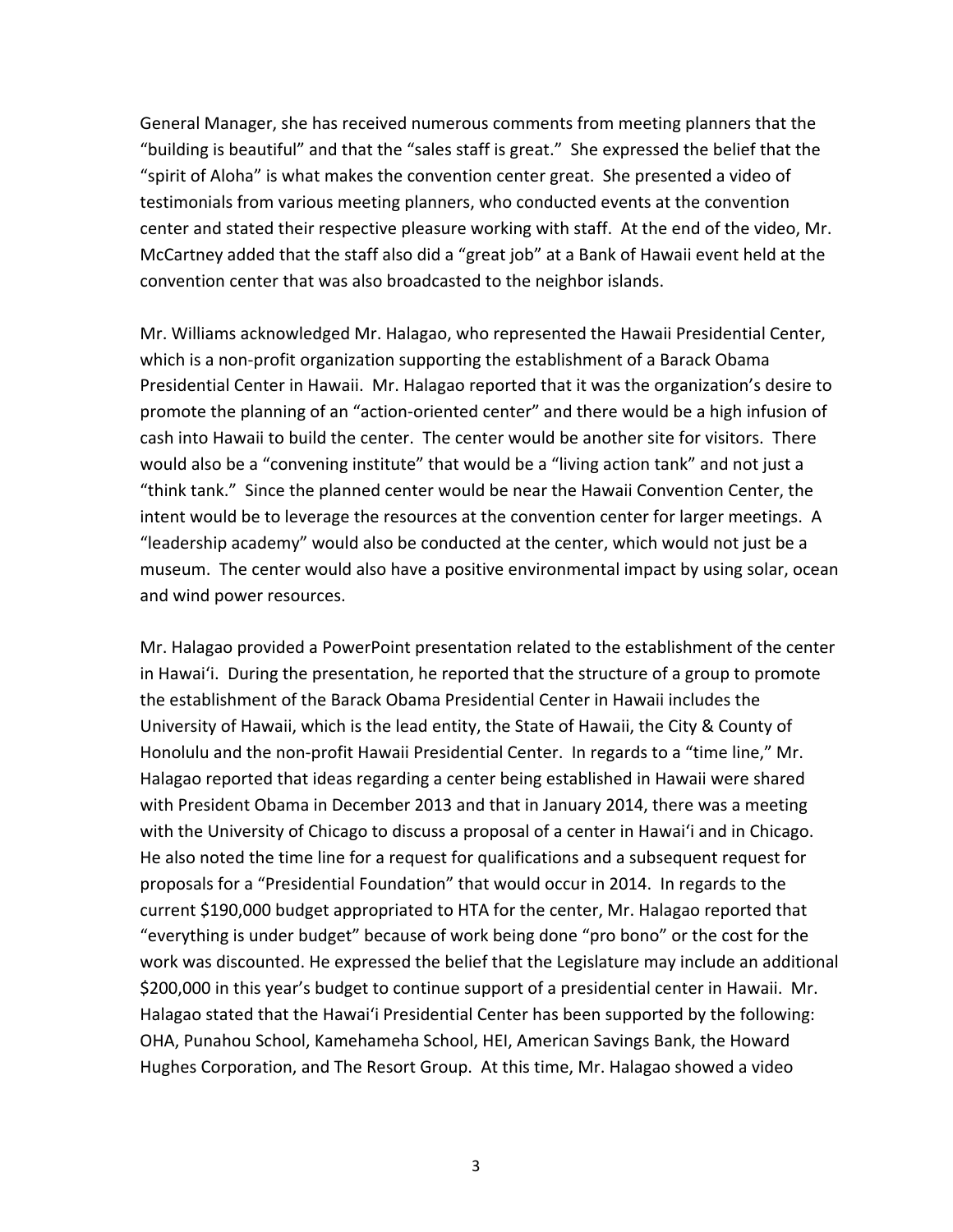General Manager, she has received numerous comments from meeting planners that the "building is beautiful" and that the "sales staff is great." She expressed the belief that the "spirit of Aloha" is what makes the convention center great. She presented a video of testimonials from various meeting planners, who conducted events at the convention center and stated their respective pleasure working with staff. At the end of the video, Mr. McCartney added that the staff also did a "great job" at a Bank of Hawaii event held at the convention center that was also broadcasted to the neighbor islands.

Mr. Williams acknowledged Mr. Halagao, who represented the Hawaii Presidential Center, which is a non-profit organization supporting the establishment of a Barack Obama Presidential Center in Hawaii. Mr. Halagao reported that it was the organization's desire to promote the planning of an "action‐oriented center" and there would be a high infusion of cash into Hawaii to build the center. The center would be another site for visitors. There would also be a "convening institute" that would be a "living action tank" and not just a "think tank." Since the planned center would be near the Hawaii Convention Center, the intent would be to leverage the resources at the convention center for larger meetings. A "leadership academy" would also be conducted at the center, which would not just be a museum. The center would also have a positive environmental impact by using solar, ocean and wind power resources.

Mr. Halagao provided a PowerPoint presentation related to the establishment of the center in Hawai'i. During the presentation, he reported that the structure of a group to promote the establishment of the Barack Obama Presidential Center in Hawaii includes the University of Hawaii, which is the lead entity, the State of Hawaii, the City & County of Honolulu and the non-profit Hawaii Presidential Center. In regards to a "time line," Mr. Halagao reported that ideas regarding a center being established in Hawaii were shared with President Obama in December 2013 and that in January 2014, there was a meeting with the University of Chicago to discuss a proposal of a center in Hawai'i and in Chicago. He also noted the time line for a request for qualifications and a subsequent request for proposals for a "Presidential Foundation" that would occur in 2014. In regards to the current \$190,000 budget appropriated to HTA for the center, Mr. Halagao reported that "everything is under budget" because of work being done "pro bono" or the cost for the work was discounted. He expressed the belief that the Legislature may include an additional \$200,000 in this year's budget to continue support of a presidential center in Hawaii. Mr. Halagao stated that the Hawai'i Presidential Center has been supported by the following: OHA, Punahou School, Kamehameha School, HEI, American Savings Bank, the Howard Hughes Corporation, and The Resort Group. At this time, Mr. Halagao showed a video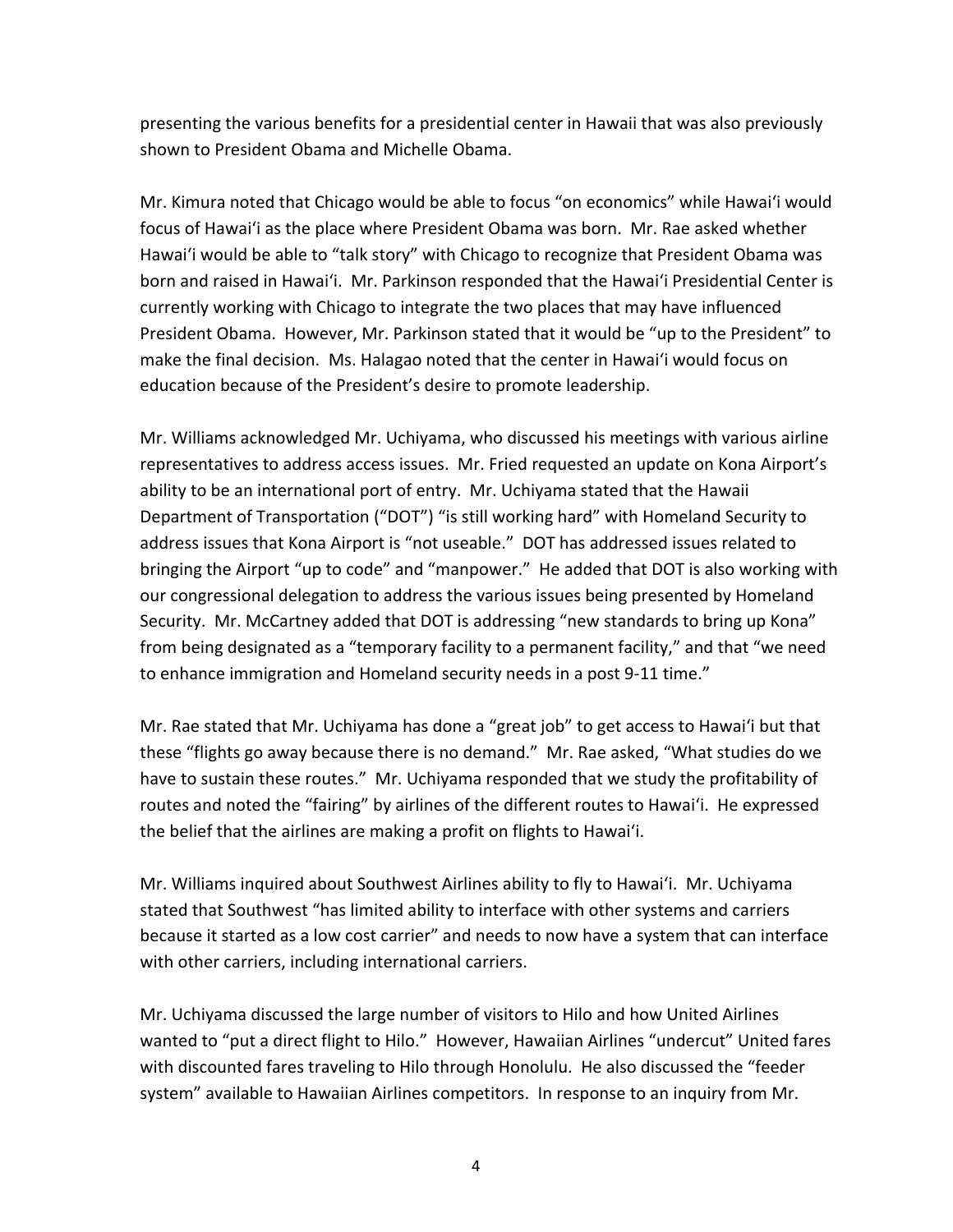presenting the various benefits for a presidential center in Hawaii that was also previously shown to President Obama and Michelle Obama.

Mr. Kimura noted that Chicago would be able to focus "on economics" while Hawai'i would focus of Hawai'i as the place where President Obama was born. Mr. Rae asked whether Hawai'i would be able to "talk story" with Chicago to recognize that President Obama was born and raised in Hawai'i. Mr. Parkinson responded that the Hawai'i Presidential Center is currently working with Chicago to integrate the two places that may have influenced President Obama. However, Mr. Parkinson stated that it would be "up to the President" to make the final decision. Ms. Halagao noted that the center in Hawai'i would focus on education because of the President's desire to promote leadership.

Mr. Williams acknowledged Mr. Uchiyama, who discussed his meetings with various airline representatives to address access issues. Mr. Fried requested an update on Kona Airport's ability to be an international port of entry. Mr. Uchiyama stated that the Hawaii Department of Transportation ("DOT") "is still working hard" with Homeland Security to address issues that Kona Airport is "not useable." DOT has addressed issues related to bringing the Airport "up to code" and "manpower." He added that DOT is also working with our congressional delegation to address the various issues being presented by Homeland Security. Mr. McCartney added that DOT is addressing "new standards to bring up Kona" from being designated as a "temporary facility to a permanent facility," and that "we need to enhance immigration and Homeland security needs in a post 9‐11 time."

Mr. Rae stated that Mr. Uchiyama has done a "great job" to get access to Hawai'i but that these "flights go away because there is no demand." Mr. Rae asked, "What studies do we have to sustain these routes." Mr. Uchiyama responded that we study the profitability of routes and noted the "fairing" by airlines of the different routes to Hawai'i. He expressed the belief that the airlines are making a profit on flights to Hawai'i.

Mr. Williams inquired about Southwest Airlines ability to fly to Hawai'i. Mr. Uchiyama stated that Southwest "has limited ability to interface with other systems and carriers because it started as a low cost carrier" and needs to now have a system that can interface with other carriers, including international carriers.

Mr. Uchiyama discussed the large number of visitors to Hilo and how United Airlines wanted to "put a direct flight to Hilo." However, Hawaiian Airlines "undercut" United fares with discounted fares traveling to Hilo through Honolulu. He also discussed the "feeder system" available to Hawaiian Airlines competitors. In response to an inquiry from Mr.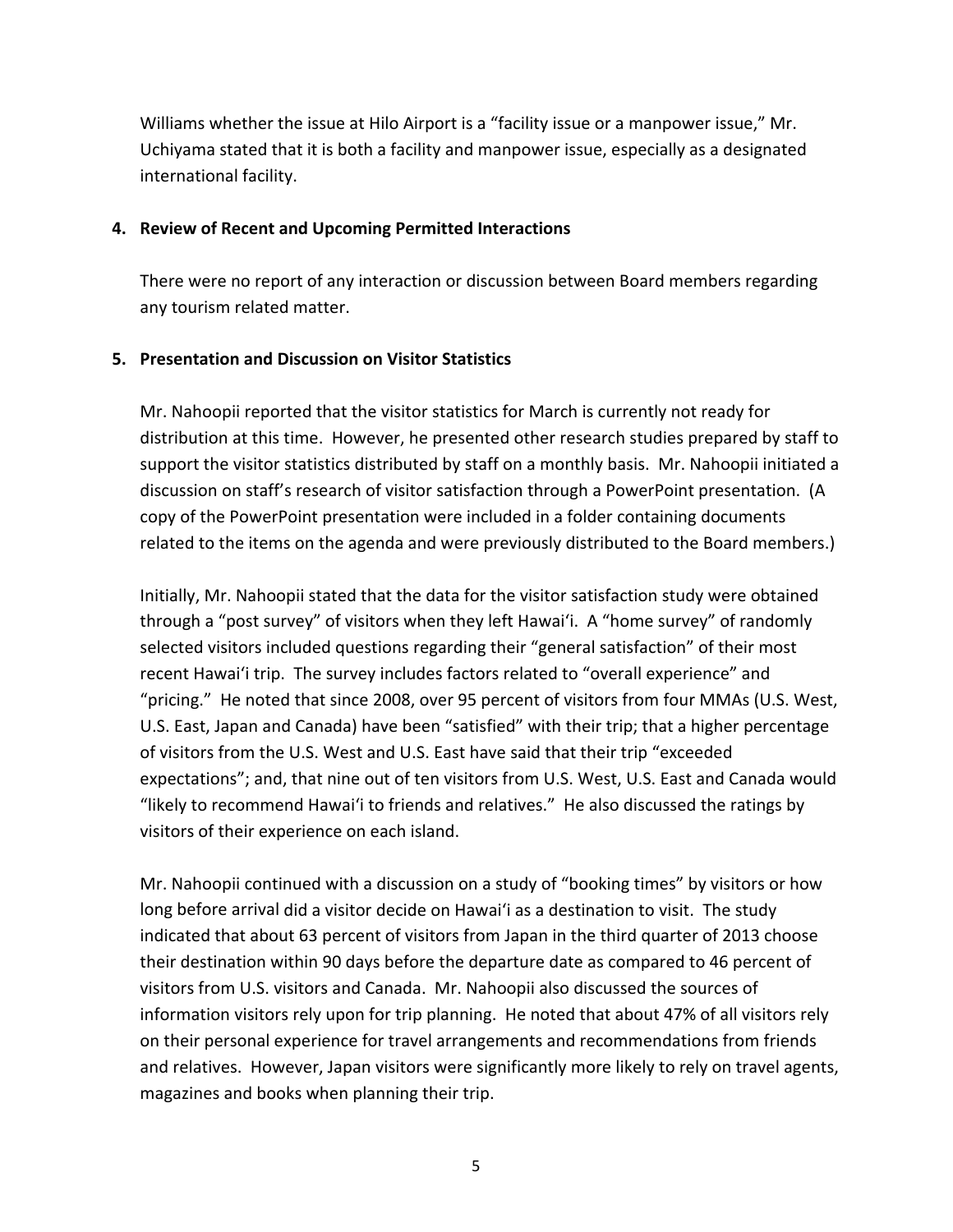Williams whether the issue at Hilo Airport is a "facility issue or a manpower issue," Mr. Uchiyama stated that it is both a facility and manpower issue, especially as a designated international facility.

#### **4. Review of Recent and Upcoming Permitted Interactions**

There were no report of any interaction or discussion between Board members regarding any tourism related matter.

#### **5. Presentation and Discussion on Visitor Statistics**

Mr. Nahoopii reported that the visitor statistics for March is currently not ready for distribution at this time. However, he presented other research studies prepared by staff to support the visitor statistics distributed by staff on a monthly basis. Mr. Nahoopii initiated a discussion on staff's research of visitor satisfaction through a PowerPoint presentation. (A copy of the PowerPoint presentation were included in a folder containing documents related to the items on the agenda and were previously distributed to the Board members.)

Initially, Mr. Nahoopii stated that the data for the visitor satisfaction study were obtained through a "post survey" of visitors when they left Hawai'i. A "home survey" of randomly selected visitors included questions regarding their "general satisfaction" of their most recent Hawai'i trip. The survey includes factors related to "overall experience" and "pricing." He noted that since 2008, over 95 percent of visitors from four MMAs (U.S. West, U.S. East, Japan and Canada) have been "satisfied" with their trip; that a higher percentage of visitors from the U.S. West and U.S. East have said that their trip "exceeded expectations"; and, that nine out of ten visitors from U.S. West, U.S. East and Canada would "likely to recommend Hawai'i to friends and relatives." He also discussed the ratings by visitors of their experience on each island.

Mr. Nahoopii continued with a discussion on a study of "booking times" by visitors or how long before arrival did a visitor decide on Hawai'i as a destination to visit. The study indicated that about 63 percent of visitors from Japan in the third quarter of 2013 choose their destination within 90 days before the departure date as compared to 46 percent of visitors from U.S. visitors and Canada. Mr. Nahoopii also discussed the sources of information visitors rely upon for trip planning. He noted that about 47% of all visitors rely on their personal experience for travel arrangements and recommendations from friends and relatives. However, Japan visitors were significantly more likely to rely on travel agents, magazines and books when planning their trip.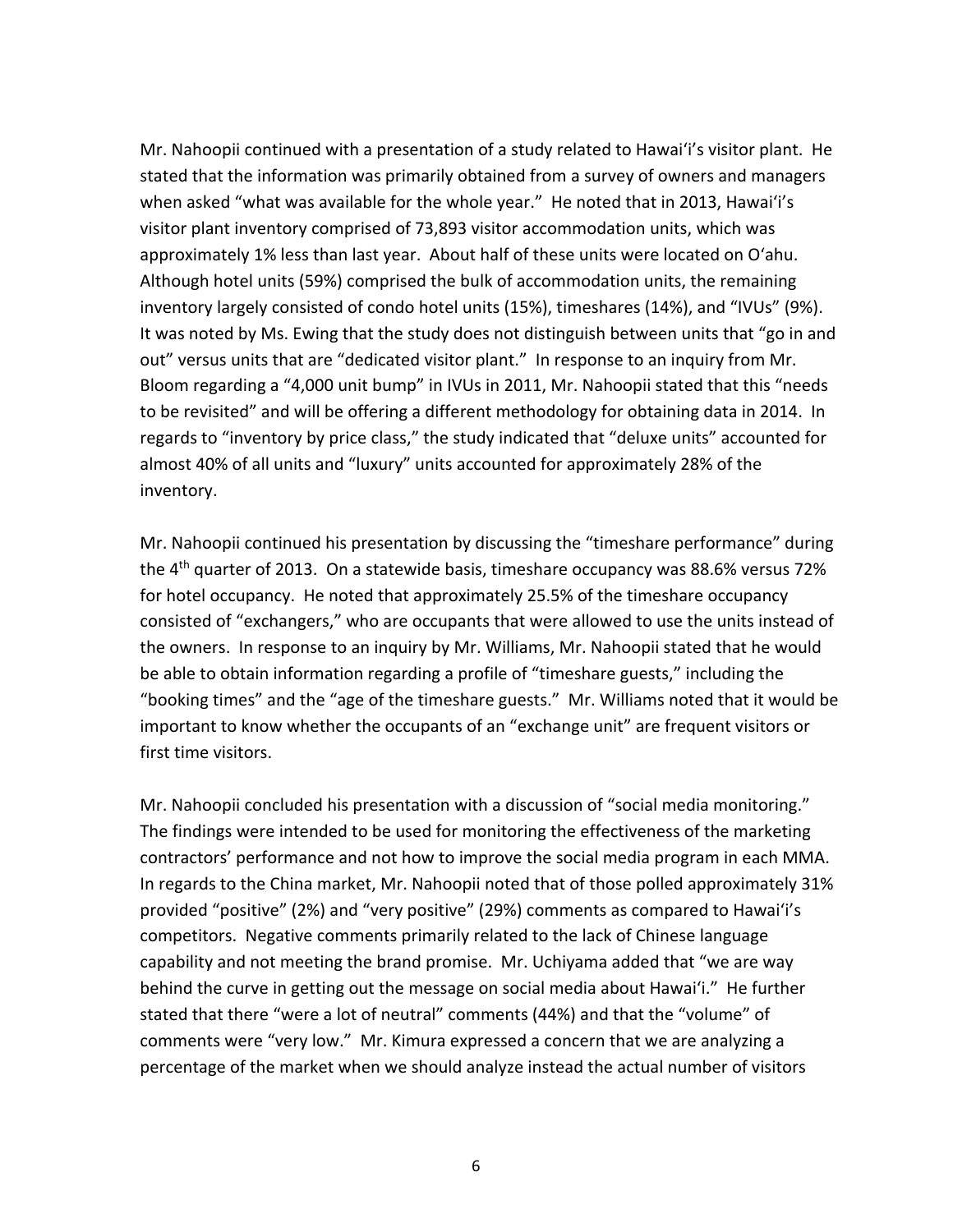Mr. Nahoopii continued with a presentation of a study related to Hawai'i's visitor plant. He stated that the information was primarily obtained from a survey of owners and managers when asked "what was available for the whole year." He noted that in 2013, Hawai'i's visitor plant inventory comprised of 73,893 visitor accommodation units, which was approximately 1% less than last year. About half of these units were located on O'ahu. Although hotel units (59%) comprised the bulk of accommodation units, the remaining inventory largely consisted of condo hotel units (15%), timeshares (14%), and "IVUs" (9%). It was noted by Ms. Ewing that the study does not distinguish between units that "go in and out" versus units that are "dedicated visitor plant." In response to an inquiry from Mr. Bloom regarding a "4,000 unit bump" in IVUs in 2011, Mr. Nahoopii stated that this "needs to be revisited" and will be offering a different methodology for obtaining data in 2014. In regards to "inventory by price class," the study indicated that "deluxe units" accounted for almost 40% of all units and "luxury" units accounted for approximately 28% of the inventory.

Mr. Nahoopii continued his presentation by discussing the "timeshare performance" during the 4<sup>th</sup> quarter of 2013. On a statewide basis, timeshare occupancy was 88.6% versus 72% for hotel occupancy. He noted that approximately 25.5% of the timeshare occupancy consisted of "exchangers," who are occupants that were allowed to use the units instead of the owners. In response to an inquiry by Mr. Williams, Mr. Nahoopii stated that he would be able to obtain information regarding a profile of "timeshare guests," including the "booking times" and the "age of the timeshare guests." Mr. Williams noted that it would be important to know whether the occupants of an "exchange unit" are frequent visitors or first time visitors.

Mr. Nahoopii concluded his presentation with a discussion of "social media monitoring." The findings were intended to be used for monitoring the effectiveness of the marketing contractors' performance and not how to improve the social media program in each MMA. In regards to the China market, Mr. Nahoopii noted that of those polled approximately 31% provided "positive" (2%) and "very positive" (29%) comments as compared to Hawai'i's competitors. Negative comments primarily related to the lack of Chinese language capability and not meeting the brand promise. Mr. Uchiyama added that "we are way behind the curve in getting out the message on social media about Hawai'i." He further stated that there "were a lot of neutral" comments (44%) and that the "volume" of comments were "very low." Mr. Kimura expressed a concern that we are analyzing a percentage of the market when we should analyze instead the actual number of visitors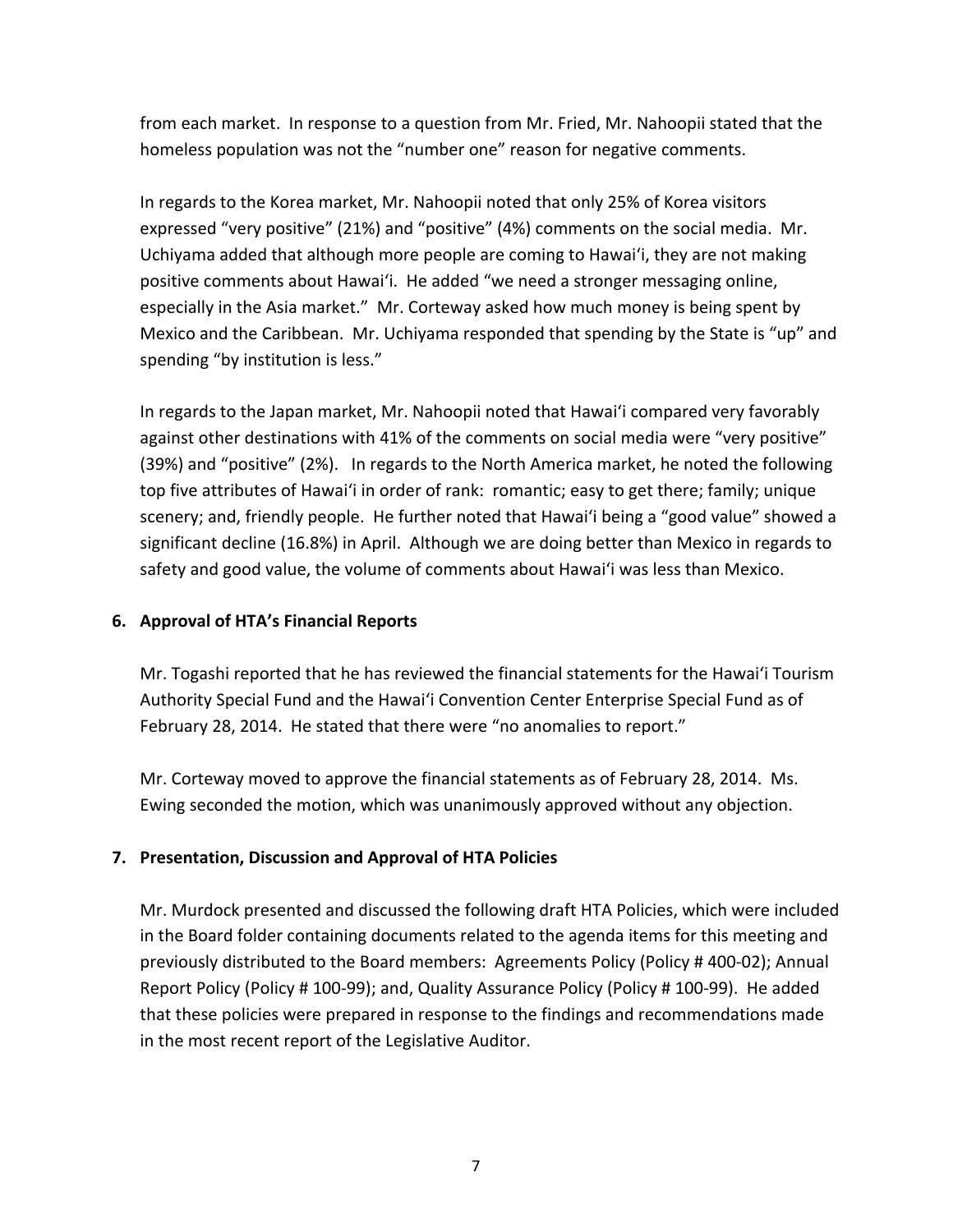from each market. In response to a question from Mr. Fried, Mr. Nahoopii stated that the homeless population was not the "number one" reason for negative comments.

In regards to the Korea market, Mr. Nahoopii noted that only 25% of Korea visitors expressed "very positive" (21%) and "positive" (4%) comments on the social media. Mr. Uchiyama added that although more people are coming to Hawai'i, they are not making positive comments about Hawai'i. He added "we need a stronger messaging online, especially in the Asia market." Mr. Corteway asked how much money is being spent by Mexico and the Caribbean. Mr. Uchiyama responded that spending by the State is "up" and spending "by institution is less."

In regards to the Japan market, Mr. Nahoopii noted that Hawai'i compared very favorably against other destinations with 41% of the comments on social media were "very positive" (39%) and "positive" (2%). In regards to the North America market, he noted the following top five attributes of Hawai'i in order of rank: romantic; easy to get there; family; unique scenery; and, friendly people. He further noted that Hawai'i being a "good value" showed a significant decline (16.8%) in April. Although we are doing better than Mexico in regards to safety and good value, the volume of comments about Hawai'i was less than Mexico.

## **6. Approval of HTA's Financial Reports**

Mr. Togashi reported that he has reviewed the financial statements for the Hawai'i Tourism Authority Special Fund and the Hawai'i Convention Center Enterprise Special Fund as of February 28, 2014. He stated that there were "no anomalies to report."

Mr. Corteway moved to approve the financial statements as of February 28, 2014. Ms. Ewing seconded the motion, which was unanimously approved without any objection.

## **7. Presentation, Discussion and Approval of HTA Policies**

Mr. Murdock presented and discussed the following draft HTA Policies, which were included in the Board folder containing documents related to the agenda items for this meeting and previously distributed to the Board members: Agreements Policy (Policy # 400‐02); Annual Report Policy (Policy # 100‐99); and, Quality Assurance Policy (Policy # 100‐99). He added that these policies were prepared in response to the findings and recommendations made in the most recent report of the Legislative Auditor.